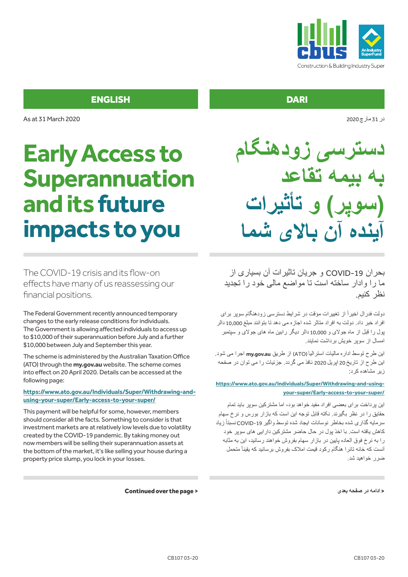

در 31 مارچ2020

### ENGLISH

As at 31 March 2020

# **Early Access to Superannuation and its future impacts to you**

The COVID-19 crisis and its flow-on effects have many of us reassessing our financial positions.

The Federal Government recently announced temporary changes to the early release conditions for individuals. The Government is allowing affected individuals to access up to \$10,000 of their superannuation before July and a further \$10,000 between July and September this year.

The scheme is administered by the Australian Taxation Office (ATO) through the **my.gov.au** website. The scheme comes into effect on 20 April 2020. Details can be accessed at the following page:

#### **https://www.ato.gov.au/Individuals/Super/Withdrawing-andusing-your-super/Early-access-to-your-super/**

This payment will be helpful for some, however, members should consider all the facts. Something to consider is that investment markets are at relatively low levels due to volatility created by the COVID-19 pandemic. By taking money out now members will be selling their superannuation assets at the bottom of the market, it's like selling your house during a property price slump, you lock in your losses.

Continued over the page >

**دسترسی زودهنگام به بیمه تقاعد )سوپر( و تأثیرات آینده آن باالی شما**

بحران -19COVID و جریان تاثیرات آن بسیاری از ما را وادار ساخته است تا مواضع مالی خود را تجدید نظر کنیم.

نولت فدرال اخیراً از تغییرات مؤقت در شرایط دسترسی زودهنگام سوپر برای افراد خبر داد. دولت به افراد متاثر شده اجازه می دهد تا بتوانند مبلغ 10,000 دالر پول را قبل از ماه جوالی و 10,000 دالر دیگر رابین ماه های جوالی و سپتمبر امسال از سوپر خویش برداشت نمایند.

این طرح توسط اداره مالیات استرالیا )ATO )از طریق **au.gov.my** اجرا می شود. این طرح از تاریخ 20 اپریل 2020 نافذ می گردد. جزئیات را می توان در صفحه زیر مشاهده کرد:

**https://www.ato.gov.au/Individuals/Super/Withdrawing-and-usingyour-super/Early-access-to-your-super/**

این پرداخت برای بعضی افراد مفید خواهد بود، اما مشترکین سوپر باید تمام حقایق را در نظر بگیرند. نکته قابل توجه این است که بازار بورس و نرخ سهام سرمایه گذاری شده بخاطر نوسانات ایجاد شده توسط واگیر COVID-19 نسبتاً زیاد کاهش یافته است. با اخذ پول در حال حاضر مشترکین دارایی های سوپر خود را به نرخ فوق العاده پایین در بازار سهام بفروش خواهند رسانید، این به مثابه انست که خانه تانرا هنگام رکود قیمت املاک بفروش برسانید که یقینأ متحمل ضرر خواهید شد.

>**ادامه در صفحه بعدی** 

**DARI**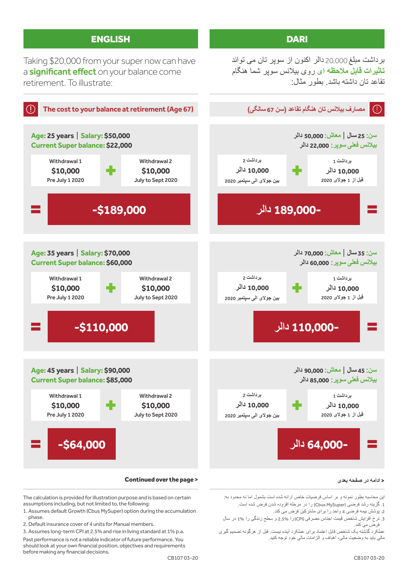

#### >**ادامه در صفحه بعدی**

این محاسبه بطور نمونه و بر اساس فرضیات خاص ارائه شده است بشمول اما نه محدود به: 1. گزینه رشد فرضی (Cbus MySuper) را در مرحله افزوده شدن فرض شده است.

.2 پوشش بیمه فرضی 4 واحد را برای مشترکین فرض می کند.

.3 نرخ افرایش شاخص قیمت اجناس مصرفی )CPI )را 2.5% و سطح زندگی را 1% در سال فرض می کند.

عملکرد گذشته یک شاخص قابل اعتماد برای عملکرد آینده نیست. قبل از هرگونه تصمیم گیری مالی باید به وضعیت مالی، اهداف و الزامات مالی خود توجه کنید.

Continued over the page >

The calculation is provided for illustration purpose and is based on certain

1. Assumes default Growth (Cbus MySuper) option during the accumulation

3. Assumes long-term CPI at 2.5% and rise in living standard at 1% p.a. Past performance is not a reliable indicator of future performance. You should look at your own financial position, objectives and requirements

assumptions including, but not limited to, the following:

2. Default insurance cover of 4 units for Manual members.

before making any financial decisions.

phase.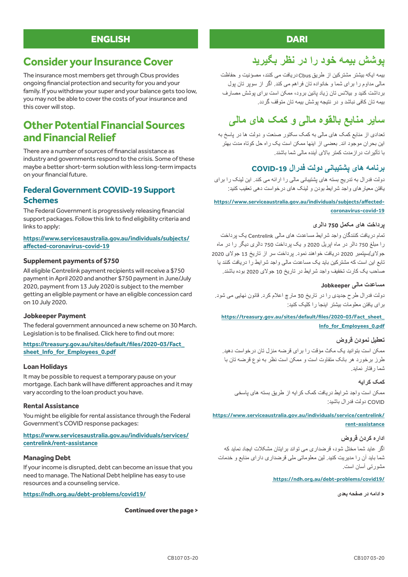### ENGLISH

# **Consider your Insurance Cover**

The insurance most members get through Cbus provides ongoing financial protection and security for you and your family. If you withdraw your super and your balance gets too low, you may not be able to cover the costs of your insurance and this cover will stop.

# **Other Potential Financial Sources and Financial Relief**

There are a number of sources of financial assistance as industry and governments respond to the crisis. Some of these maybe a better short-term solution with less long-term impacts on your financial future.

### **Federal Government COVID-19 Support Schemes**

The Federal Government is progressively releasing financial support packages. Follow this link to find eligibility criteria and links to apply:

#### **https://www.servicesaustralia.gov.au/individuals/subjects/ affected-coronavirus-covid-19**

#### **Supplement payments of \$750**

All eligible Centrelink payment recipients will receive a \$750 payment in April 2020 and another \$750 payment in June/July 2020, payment from 13 July 2020 is subject to the member getting an eligible payment or have an eligible concession card on 10 July 2020.

#### **Jobkeeper Payment**

The federal government announced a new scheme on 30 March. Legislation is to be finalised. Click here to find out more:

#### **https://treasury.gov.au/sites/default/files/2020-03/Fact\_ sheet\_Info\_for\_Employees\_0.pdf**

#### **Loan Holidays**

It may be possible to request a temporary pause on your mortgage. Each bank will have different approaches and it may vary according to the loan product you have.

#### **Rental Assistance**

You might be eligible for rental assistance through the Federal Government's COVID response packages:

#### **https://www.servicesaustralia.gov.au/individuals/services/ centrelink/rent-assistance**

#### **Managing Debt**

If your income is disrupted, debt can become an issue that you need to manage. The National Debt helpline has easy to use resources and a counseling service.

**https://ndh.org.au/debt-problems/covid19/**

#### Continued over the page >

### **DARI**

# **پوشش بیمه خود را در نظر بگیرید**

بیمه ایکه بیشتر مشترکین از طریق Cbus دریافت می کنند، مصؤنیت و حفاظت مالی مداوم را برای شما و خانواده تان فراهم می کند. اگر از سوپر تان پول برداشت کنید و بیالنس تان زیاد پائین برود، ممکن است برای پوشش مصارف بیمه تان کافی نباشد و در نتیجه پوشش بیمه تان متوقف گردد.

# **سایر منابع بالقوه مالی و کمک های مالی**

تعدادی از منابع کمک های مالی به کمک سکتور صنعت و دولت ها در پاسخ به این بحران موجود اند. بعضی از اینها ممکن است یک راه حل کوتاه مدت بهتر با تأثیرات درازمدت کمتر باالی آینده مالی شما باشند.

### **برنامه های پشتیبانی دولت فدرال -19COVID**

دولت فدرال به تدریج بسته های پشتیبانی مالی را ارائه می کند. این لینک را برای یافتن معیارهای واجد شرایط بودن و لینک های درخواست دهی تعقیب کنید:

#### **https://www.serviceaustralia.gov.au/individuals/subjects/affectedcoronavirus-covid-19**

#### **پرداخت های مکمل 750 دالری**

تمام دریافت کنندگان واجد شرایط مساعدت های مالی Centrelink یک پرداخت را مبلغ 750 دالر در ماه اپریل 2020 و یک پرداخت 750 دالری دیگر را در ماه جوالی/سپتمبر 2020 دریافت خواهند نمود. پرداخت سر از تاریخ 13 جوالی 2020 تابع این است که مشترکین باید یک مساعدت مالی واجد شرایط را دریافت کنند یا صاحب یک کارت تخفیف واجد شرایط در تاریخ 10 جوالی 2020 بوده باشند.

#### **مساعدت مالی Jobkeeper**

دولت فدرال طرح جدیدی را در تاریخ 30 مارچ اعالم کرد. قانون نهایی می شود. برای یافتن معلومات بیشتر اینجا را کلیک کنید:

#### **https://treasury.gov.au/sites/default/files/2020-03/Fact\_sheet\_ Info\_for\_Employees\_0.pdf**

#### **تعطیل نمودن قروض**

ممکن است بتوانید یک مکث مؤقت را برای قرضه منزل تان درخواست دهید. طرز برخورد هر بانک متفاوت است و ممکن است نظر به نوع قرضه تان با شما رفتار نماید.

#### **کمک کرایه**

ممکن است واجد شرایط دریافت کمک کرایه از طریق بسته های پاسخی COVID دولت فدرال باشید:

#### **https://www.serviceaustralia.gov.au/individuals/service/centrelink/ rent-assistance**

#### **اداره کردن قروض**

اگر عاید شما مختل شود، قرضداری می تواند برایتان مشکالت ایجاد نماید که شما باید آن را مدیریت کنید. لین معلوماتی ملی قرضداری دارای منابع و خدمات مشورتی آسان است.

#### **https://ndh.org.au/debt-problems/covid19/**

>**ادامه در صفحه بعدی**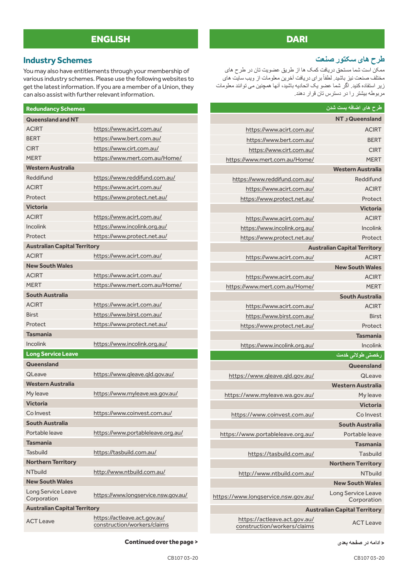## ENGLISH

### **Industry Schemes**

You may also have entitlements through your membership of various industry schemes. Please use the following websites to get the latest information. If you are a member of a Union, they can also assist with further relevant information.

| <b>Redundancy Schemes</b>           |                                                             |  |
|-------------------------------------|-------------------------------------------------------------|--|
| <b>Queensland and NT</b>            |                                                             |  |
| <b>ACIRT</b>                        | https://www.acirt.com.au/                                   |  |
| <b>BERT</b>                         | https://www.bert.com.au/                                    |  |
| <b>CIRT</b>                         | https://www.cirt.com.au/                                    |  |
| <b>MFRT</b>                         | https://www.mert.com.au/Home/                               |  |
| <b>Western Australia</b>            |                                                             |  |
| Reddifund                           | https://www.reddifund.com.au/                               |  |
| <b>ACIRT</b>                        | https://www.acirt.com.au/                                   |  |
| Protect                             | https://www.protect.net.au/                                 |  |
| <b>Victoria</b>                     |                                                             |  |
| <b>ACIRT</b>                        | https://www.acirt.com.au/                                   |  |
| <b>Incolink</b>                     | https://www.incolink.org.au/                                |  |
| Protect                             | https://www.protect.net.au/                                 |  |
| <b>Australian Capital Territory</b> |                                                             |  |
| <b>ACIRT</b>                        | https://www.acirt.com.au/                                   |  |
| <b>New South Wales</b>              |                                                             |  |
| <b>ACIRT</b>                        | https://www.acirt.com.au/                                   |  |
| <b>MERT</b>                         | https://www.mert.com.au/Home/                               |  |
| <b>South Australia</b>              |                                                             |  |
| <b>ACIRT</b>                        | https://www.acirt.com.au/                                   |  |
| <b>Birst</b>                        | https://www.birst.com.au/                                   |  |
| Protect                             | https://www.protect.net.au/                                 |  |
| <b>Tasmania</b>                     |                                                             |  |
| Incolink                            | https://www.incolink.org.au/                                |  |
| <b>Long Service Leave</b>           |                                                             |  |
| Queensland                          |                                                             |  |
| QLeave                              | https://www.gleave.gld.gov.au/                              |  |
| <b>Western Australia</b>            |                                                             |  |
| My leave                            | https://www.myleave.wa.gov.au/                              |  |
| <b>Victoria</b>                     |                                                             |  |
| Co Invest                           | https://www.coinvest.com.au/                                |  |
| <b>South Australia</b>              |                                                             |  |
| Portable leave                      | https://www.portableleave.org.au/                           |  |
| Tasmania                            |                                                             |  |
| Tasbuild                            | https://tasbuild.com.au/                                    |  |
| <b>Northern Territory</b>           |                                                             |  |
| <b>NTbuild</b>                      | http://www.ntbuild.com.au/                                  |  |
| <b>New South Wales</b>              |                                                             |  |
| Long Service Leave<br>Corporation   | https://www.longservice.nsw.gov.au/                         |  |
| <b>Australian Capital Territory</b> |                                                             |  |
| <b>ACT Leave</b>                    | https://actleave.act.gov.au/<br>construction/workers/claims |  |

#### Continued over the page >

### DARI

### **طرح های سکتور صنعت**

ممکن است شما مستحق دریافت کمک ها از طریق عضویت تان در طرح های مختلف صنعت نیز باشید. لطفاً بر ای دریافت آخرین معلومات از ویب سایت های زیر استفاده کنید. اگر شما عضو یک اتحادیه باشید، آنها همچنین می توانند معلومات مربوطه بیشتر را در دسترس تان قرار دهند.

|                                                             | <mark>طرح های اضافه بست شدن</mark>        |  |
|-------------------------------------------------------------|-------------------------------------------|--|
|                                                             | <b>NT و Queensland</b>                    |  |
| https://www.acirt.com.au/                                   | <b>ACIRT</b>                              |  |
| https://www.bert.com.au/                                    | <b>BERT</b>                               |  |
| https://www.cirt.com.au/                                    | <b>CIRT</b>                               |  |
| https://www.mert.com.au/Home/                               | <b>MERT</b>                               |  |
|                                                             | <b>Western Australia</b>                  |  |
| https://www.reddifund.com.au/                               | Reddifund                                 |  |
| https://www.acirt.com.au/                                   | <b>ACIRT</b>                              |  |
| https://www.protect.net.au/                                 | Protect                                   |  |
|                                                             | <b>Victoria</b>                           |  |
| https://www.acirt.com.au/                                   | <b>ACIRT</b>                              |  |
| https://www.incolink.org.au/                                | Incolink                                  |  |
| https://www.protect.net.au/                                 | Protect                                   |  |
|                                                             | <b>Australian Capital Territory</b>       |  |
| https://www.acirt.com.au/                                   | <b>ACIRT</b>                              |  |
|                                                             | <b>New South Wales</b>                    |  |
| https://www.acirt.com.au/                                   | <b>ACIRT</b>                              |  |
| https://www.mert.com.au/Home/                               | <b>MERT</b>                               |  |
|                                                             | <b>South Australia</b>                    |  |
| https://www.acirt.com.au/                                   | <b>ACIRT</b>                              |  |
| https://www.birst.com.au/                                   | <b>Birst</b>                              |  |
| https://www.protect.net.au/                                 | Protect                                   |  |
|                                                             | <b>Tasmania</b>                           |  |
| https://www.incolink.org.au/                                | Incolink                                  |  |
|                                                             | رخصت <i>ی</i> طولان <i>ی</i> خد <u>مت</u> |  |
|                                                             | <b>Queensland</b>                         |  |
| https://www.gleave.gld.gov.au/                              | QLeave                                    |  |
|                                                             | <b>Western Australia</b>                  |  |
| https://www.myleave.wa.gov.au/                              | My leave                                  |  |
|                                                             | <b>Victoria</b>                           |  |
| https://www.coinvest.com.au/                                | Co Invest                                 |  |
|                                                             | South Australia                           |  |
| https://www.portableleave.org.au/                           | Portable leave                            |  |
|                                                             | <b>Tasmania</b>                           |  |
| https://tasbuild.com.au/                                    | Tasbuild                                  |  |
|                                                             | <b>Northern Territory</b>                 |  |
| http://www.ntbuild.com.au/                                  | <b>NThuild</b>                            |  |
|                                                             | <b>New South Wales</b>                    |  |
| https://www.longservice.nsw.gov.au/                         | Long Service Leave<br>Corporation         |  |
| <b>Australian Capital Territory</b>                         |                                           |  |
| https://actleave.act.gov.au/<br>construction/workers/claims | <b>ACT Leave</b>                          |  |

>**ادامه در صفحه بعدی**